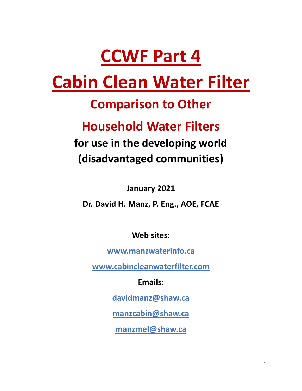## **CCWF Part 4**

# **Cabin Clean Water Filter**

### **Comparison to Other**

### **Household Water Filters**

### **for use in the developing world (disadvantaged communities)**

**January 2021**

**Dr. David H. Manz, P. Eng., AOE, FCAE**

**Web sites:**

**[www.manzwaterinfo.ca](http://www.manzwaterinfo.ca/)**

**[www.cabincleanwaterfilter.com](http://www.cabincleanwaterfilter.com/)**

**Emails:**

**[davidmanz@shaw.ca](mailto:davidmanz@shaw.ca)**

**[manzcabin@shaw.ca](mailto:manzcabin@shaw.ca)**

**[manzmel@shaw.ca](mailto:manzmel@shaw.ca)**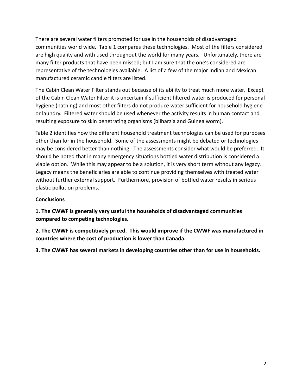There are several water filters promoted for use in the households of disadvantaged communities world wide. Table 1 compares these technologies. Most of the filters considered are high quality and with used throughout the world for many years. Unfortunately, there are many filter products that have been missed; but I am sure that the one's considered are representative of the technologies available. A list of a few of the major Indian and Mexican manufactured ceramic candle filters are listed.

The Cabin Clean Water Filter stands out because of its ability to treat much more water. Except of the Cabin Clean Water Filter it is uncertain if sufficient filtered water is produced for personal hygiene (bathing) and most other filters do not produce water sufficient for household hygiene or laundry. Filtered water should be used whenever the activity results in human contact and resulting exposure to skin penetrating organisms (bilharzia and Guinea worm).

Table 2 identifies how the different household treatment technologies can be used for purposes other than for in the household. Some of the assessments might be debated or technologies may be considered better than nothing. The assessments consider what would be preferred. It should be noted that in many emergency situations bottled water distribution is considered a viable option. While this may appear to be a solution, it is very short term without any legacy. Legacy means the beneficiaries are able to continue providing themselves with treated water without further external support. Furthermore, provision of bottled water results in serious plastic pollution problems.

#### **Conclusions**

**1. The CWWF is generally very useful the households of disadvantaged communities compared to competing technologies.**

**2. The CWWF is competitively priced. This would improve if the CWWF was manufactured in countries where the cost of production is lower than Canada.**

**3. The CWWF has several markets in developing countries other than for use in households.**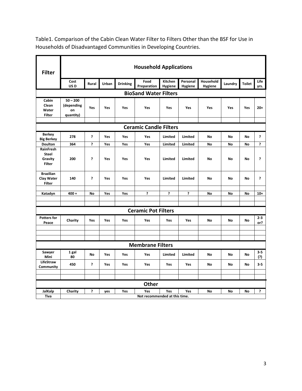Table1. Comparison of the Cabin Clean Water Filter to Filters Other than the BSF for Use in Households of Disadvantaged Communities in Developing Countries.

| <b>Filter</b>                                                                | <b>Household Applications</b>               |              |       |                 |                            |                    |                     |                             |         |               |                |  |
|------------------------------------------------------------------------------|---------------------------------------------|--------------|-------|-----------------|----------------------------|--------------------|---------------------|-----------------------------|---------|---------------|----------------|--|
|                                                                              | Cost<br>US <sub>D</sub>                     | Rural        | Urban | <b>Drinking</b> | Food<br>Preparation        | Kitchen<br>Hygiene | Personal<br>Hygiene | Household<br><b>Hygiene</b> | Laundry | <b>Toilet</b> | Life<br>yrs.   |  |
| <b>BioSand Water Filters</b>                                                 |                                             |              |       |                 |                            |                    |                     |                             |         |               |                |  |
| Cabin<br>Clean<br>Water<br><b>Filter</b>                                     | $50 - 200$<br>(depending<br>on<br>quantity) | Yes          | Yes   | Yes             | Yes                        | Yes                | <b>Yes</b>          | Yes                         | Yes     | Yes           | $20+$          |  |
| <b>Ceramic Candle Filters</b>                                                |                                             |              |       |                 |                            |                    |                     |                             |         |               |                |  |
| <b>Berkey</b><br><b>Big Berkey</b>                                           | 278                                         | <sup>2</sup> | Yes   | Yes             | Yes                        | Limited            | Limited             | No                          | No      | <b>No</b>     | S.             |  |
| <b>Doulton</b>                                                               | 364                                         | <sup>2</sup> | Yes   | Yes             | Yes                        | Limited            | Limited             | <b>No</b>                   | No      | No            | 5              |  |
| <b>RainFresh</b><br><b>Steel</b><br>Gravity<br><b>Filter</b>                 | 200                                         | ė.           | Yes   | Yes             | Yes                        | Limited            | Limited             | No                          | No      | No            | ė.             |  |
| <b>Brazilian</b><br><b>Clay Water</b><br><b>Filter</b>                       | 140                                         | Ś.           | Yes   | Yes             | Yes                        | Limited            | Limited             | No                          | No      | No            | ė.             |  |
| Katadyn                                                                      | $400 +$                                     | No           | Yes   | Yes             | Ś.                         | Ś.                 | ė.                  | No                          | No      | No            | $10 +$         |  |
|                                                                              |                                             |              |       |                 |                            |                    |                     |                             |         |               |                |  |
|                                                                              |                                             |              |       |                 | <b>Ceramic Pot Filters</b> |                    |                     |                             |         |               |                |  |
| <b>Potters for</b><br>Peace                                                  | Charity                                     | Yes          | Yes   | Yes             | Yes                        | Yes                | <b>Yes</b>          | No                          | No      | No            | $2 - 3$<br>or? |  |
|                                                                              |                                             |              |       |                 |                            |                    |                     |                             |         |               |                |  |
|                                                                              |                                             |              |       |                 |                            |                    |                     |                             |         |               |                |  |
|                                                                              | <b>Membrane Filters</b>                     |              |       |                 |                            |                    |                     |                             |         |               |                |  |
| Sawyer<br>Mini                                                               | 1 gal<br>80                                 | No           | Yes   | Yes             | Yes                        | Limited            | Limited             | No                          | No      | No            | $3-5$<br>(?)   |  |
| <b>LifeStraw</b><br>Community                                                | 450                                         | ė.           | Yes   | Yes             | Yes                        | Yes                | Yes                 | No                          | No      | No            | $3-5$          |  |
|                                                                              |                                             |              |       |                 |                            |                    |                     |                             |         |               |                |  |
|                                                                              |                                             |              |       |                 | <b>Other</b>               |                    |                     |                             |         |               |                |  |
| ć.<br>ć.<br>JalKalp<br>Charity<br>Yes<br>Yes<br>Yes<br>Yes<br>No<br>No<br>No |                                             |              |       |                 |                            |                    |                     |                             |         |               |                |  |
| Tiva                                                                         | yes<br>Not recommended at this time.        |              |       |                 |                            |                    |                     |                             |         |               |                |  |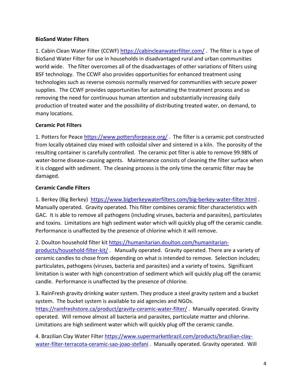#### **BioSand Water Filters**

1. Cabin Clean Water Filter (CCWF) <https://cabincleanwaterfilter.com/> . The filter is a type of BioSand Water Filter for use in households in disadvantaged rural and urban communities world wide. The filter overcomes all of the disadvantages of other variations of filters using BSF technology. The CCWF also provides opportunities for enhanced treatment using technologies such as reverse osmosis normally reserved for communities with secure power supplies. The CCWF provides opportunities for automating the treatment process and so removing the need for continuous human attention and substantially increasing daily production of treated water and the possibility of distributing treated water, on demand, to many locations.

#### **Ceramic Pot Filters**

1. Potters for Peace<https://www.pottersforpeace.org/> . The filter is a ceramic pot constructed from locally obtained clay mixed with colloidal silver and sintered in a kiln. The porosity of the resulting container is carefully controlled. The ceramic pot filter is able to remove 99.98% of water-borne disease-causing agents. Maintenance consists of cleaning the filter surface when it is clogged with sediment. The cleaning process is the only time the ceramic filter may be damaged.

#### **Ceramic Candle Filters**

1. Berkey (Big Berkey) <https://www.bigberkeywaterfilters.com/big-berkey-water-filter.html> . Manually operated. Gravity operated. This filter combines ceramic filter characteristics with GAC. It is able to remove all pathogens (including viruses, bacteria and parasites), particulates and toxins. Limitations are high sediment water which will quickly plug off the ceramic candle. Performance is unaffected by the presence of chlorine which it will remove.

2. Doulton household filter kit [https://humanitarian.doulton.com/humanitarian](https://humanitarian.doulton.com/humanitarian-products/household-filter-kit/)[products/household-filter-kit/](https://humanitarian.doulton.com/humanitarian-products/household-filter-kit/) . Manually operated. Gravity operated. There are a variety of ceramic candles to chose from depending on what is intended to remove. Selection includes; particulates, pathogens (viruses, bacteria and parasites) and a variety of toxins. Significant limitation is water with high concentration of sediment which will quickly plug off the ceramic candle. Performance is unaffected by the presence of chlorine.

3. RainFresh gravity drinking water system. They produce a steel gravity system and a bucket system. The bucket system is available to aid agencies and NGOs. <https://rainfreshstore.ca/product/gravity-ceramic-water-filter/> . Manually operated. Gravity operated. Will remove almost all bacteria and parasites, particulate matter and chlorine. Limitations are high sediment water which will quickly plug off the ceramic candle.

4. Brazilian Clay Water Filter [https://www.supermarketbrazil.com/products/brazilian-clay](https://www.supermarketbrazil.com/products/brazilian-clay-water-filter-terracota-ceramic-sao-joao-stefani)[water-filter-terracota-ceramic-sao-joao-stefani](https://www.supermarketbrazil.com/products/brazilian-clay-water-filter-terracota-ceramic-sao-joao-stefani) . Manually operated. Gravity operated. Will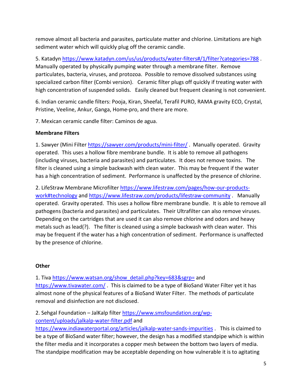remove almost all bacteria and parasites, particulate matter and chlorine. Limitations are high sediment water which will quickly plug off the ceramic candle.

5. Katadyn<https://www.katadyn.com/us/us/products/water-filters#/1/filter?categories=788> . Manually operated by physically pumping water through a membrane filter. Remove particulates, bacteria, viruses, and protozoa. Possible to remove dissolved substances using specialized carbon filter (Combi version). Ceramic filter plugs off quickly if treating water with high concentration of suspended solids. Easily cleaned but frequent cleaning is not convenient.

6. Indian ceramic candle filters: Pooja, Kiran, Sheefal, Terafil PURO, RAMA gravity ECO, Crystal, Pristine, Veeline, Ankur, Ganga, Home-pro, and there are more.

7. Mexican ceramic candle filter: Caminos de agua.

#### **Membrane Filters**

1. Sawyer (Mini Filter<https://sawyer.com/products/mini-filter/>. Manually operated. Gravity operated. This uses a hollow fibre membrane bundle. It is able to remove all pathogens (including viruses, bacteria and parasites) and particulates. It does not remove toxins. The filter is cleaned using a simple backwash with clean water. This may be frequent if the water has a high concentration of sediment. Performance is unaffected by the presence of chlorine.

2. LifeStraw Membrane Microfilter [https://www.lifestraw.com/pages/how-our-products](https://www.lifestraw.com/pages/how-our-products-work#technology)[work#technology](https://www.lifestraw.com/pages/how-our-products-work#technology) and<https://www.lifestraw.com/products/lifestraw-community> . Manually operated. Gravity operated. This uses a hollow fibre membrane bundle. It is able to remove all pathogens (bacteria and parasites) and particulates. Their Ultrafilter can also remove viruses. Depending on the cartridges that are used it can also remove chlorine and odors and heavy metals such as lead(?). The filter is cleaned using a simple backwash with clean water. This may be frequent if the water has a high concentration of sediment. Performance is unaffected by the presence of chlorine.

#### **Other**

1. Tiva [https://www.watsan.org/show\\_detail.php?key=683&sgrp=](https://www.watsan.org/show_detail.php?key=683&sgrp=) and <https://www.tivawater.com/>. This is claimed to be a type of BioSand Water Filter yet it has almost none of the physical features of a BioSand Water Filter. The methods of particulate removal and disinfection are not disclosed.

2. Sehgal Foundation – JalKalp filter [https://www.smsfoundation.org/wp](https://www.smsfoundation.org/wp-content/uploads/jalkalp-water-filter.pdf)[content/uploads/jalkalp-water-filter.pdf](https://www.smsfoundation.org/wp-content/uploads/jalkalp-water-filter.pdf) and

<https://www.indiawaterportal.org/articles/jalkalp-water-sands-impurities> . This is claimed to be a type of BioSand water filter; however, the design has a modified standpipe which is within the filter media and it incorporates a copper mesh between the bottom two layers of media. The standpipe modification may be acceptable depending on how vulnerable it is to agitating